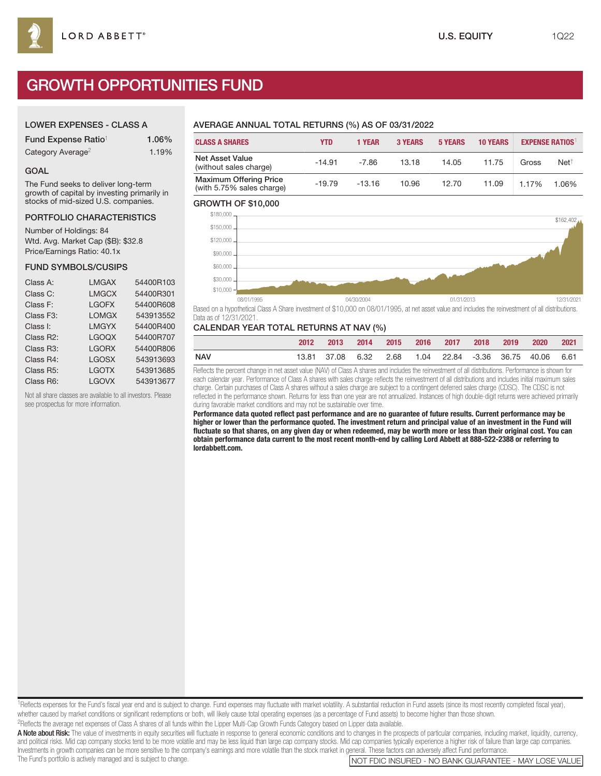# GROWTH OPPORTUNITIES FUND

### LOWER EXPENSES - CLASS A

| Fund Expense Ratio <sup>1</sup> | 1.06% |
|---------------------------------|-------|
| Category Average <sup>2</sup>   | 1.19% |

#### GOAL

The Fund seeks to deliver long-term growth of capital by investing primarily in stocks of mid-sized U.S. companies.

#### PORTFOLIO CHARACTERISTICS

Number of Holdings: 84 Wtd. Avg. Market Cap (\$B): \$32.8 Price/Earnings Ratio: 40.1x

#### FUND SYMBOLS/CUSIPS

| Class A:               | <b>LMGAX</b> | 54400R103 |
|------------------------|--------------|-----------|
| Class C:               | <b>LMGCX</b> | 54400R301 |
| Class F:               | <b>LGOFX</b> | 54400R608 |
| Class F <sub>3</sub> : | <b>LOMGX</b> | 543913552 |
| Class I:               | <b>LMGYX</b> | 54400R400 |
| Class R2:              | <b>LGOQX</b> | 54400R707 |
| Class R3:              | <b>LGORX</b> | 54400R806 |
| Class R4:              | <b>LGOSX</b> | 543913693 |
| Class R5:              | <b>LGOTX</b> | 543913685 |
| Class R6:              | <b>LGOVX</b> | 543913677 |

Not all share classes are available to all investors. Please see prospectus for more information.

## AVERAGE ANNUAL TOTAL RETURNS (%) AS OF 03/31/2022

| <b>CLASS A SHARES</b>                                      | YTD      | 1 YEAR   | <b>3 YEARS</b> | <b>5 YEARS</b> | <b>10 YEARS</b> |       | <b>EXPENSE RATIOS</b> |
|------------------------------------------------------------|----------|----------|----------------|----------------|-----------------|-------|-----------------------|
| <b>Net Asset Value</b><br>(without sales charge)           | $-14.91$ | $-7.86$  | 13.18          | 14.05          | 11.75           | Gross | Net <sup>†</sup>      |
| <b>Maximum Offering Price</b><br>(with 5.75% sales charge) | $-19.79$ | $-13.16$ | 10.96          | 12.70          | 11.09           | 1.17% | 1.06%                 |

#### GROWTH OF \$10,000



Based on a hypothetical Class A Share investment of \$10,000 on 08/01/1995, at net asset value and includes the reinvestment of all distributions. Data as of 12/31/2021.

#### CALENDAR YEAR TOTAL RETURNS AT NAV (%)

|            | 2012 | 2013 2014 2015 2016 2017 2018 2019 2020 2021            |  |  |  |  |
|------------|------|---------------------------------------------------------|--|--|--|--|
| <b>NAV</b> |      | 13.81 37.08 6.32 2.68 1.04 22.84 -3.36 36.75 40.06 6.61 |  |  |  |  |

Reflects the percent change in net asset value (NAV) of Class A shares and includes the reinvestment of all distributions. Performance is shown for each calendar year. Performance of Class A shares with sales charge reflects the reinvestment of all distributions and includes initial maximum sales charge. Certain purchases of Class A shares without a sales charge are subject to a contingent deferred sales charge (CDSC). The CDSC is not reflected in the performance shown. Returns for less than one year are not annualized. Instances of high double-digit returns were achieved primarily during favorable market conditions and may not be sustainable over time.

**Performance data quoted reflect past performance and are no guarantee of future results. Current performance may be higher or lower than the performance quoted. The investment return and principal value of an investment in the Fund will fluctuate so that shares, on any given day or when redeemed, may be worth more or less than their original cost. You can obtain performance data current to the most recent month-end by calling Lord Abbett at 888-522-2388 or referring to lordabbett.com.**

<sup>1</sup>Reflects expenses for the Fund's fiscal year end and is subject to change. Fund expenses may fluctuate with market volatility. A substantial reduction in Fund assets (since its most recently completed fiscal year), whether caused by market conditions or significant redemptions or both, will likely cause total operating expenses (as a percentage of Fund assets) to become higher than those shown.

2Reflects the average net expenses of Class A shares of all funds within the Lipper Multi-Cap Growth Funds Category based on Lipper data available.

A Note about Risk: The value of investments in equity securities will fluctuate in response to general economic conditions and to changes in the prospects of particular companies, including market, liquidity, currency, and political risks. Mid cap company stocks tend to be more volatile and may be less liquid than large cap company stocks. Mid cap companies typically experience a higher risk of failure than large cap companies. Investments in growth companies can be more sensitive to the company's earnings and more volatile than the stock market in general. These factors can adversely affect Fund performance.